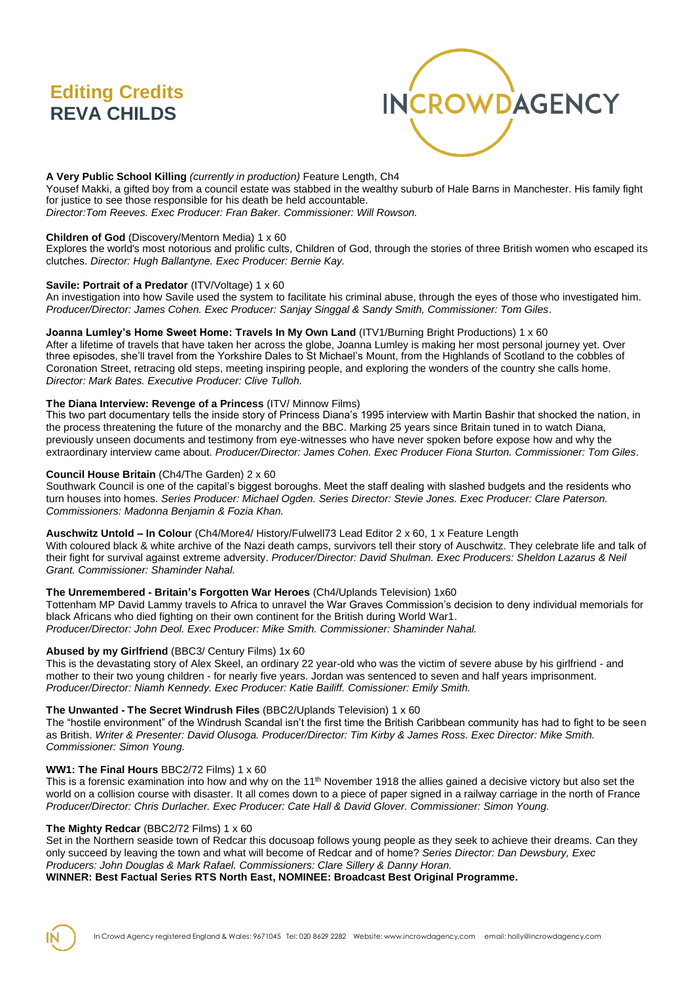# **Editing Credits REVA CHILDS**



# **A Very Public School Killing** *(currently in production)* Feature Length, Ch4

Yousef Makki, a gifted boy from a council estate was stabbed in the wealthy suburb of Hale Barns in Manchester. His family fight for justice to see those responsible for his death be held accountable. *Director:Tom Reeves. Exec Producer: Fran Baker. Commissioner: Will Rowson.*

#### **Children of God** (Discovery/Mentorn Media) 1 x 60

Explores the world's most notorious and prolific cults, Children of God, through the stories of three British women who escaped its clutches. *Director: Hugh Ballantyne. Exec Producer: Bernie Kay.*

#### **Savile: Portrait of a Predator** (ITV/Voltage) 1 x 60

An investigation into how Savile used the system to facilitate his criminal abuse, through the eyes of those who investigated him. *Producer/Director: James Cohen. Exec Producer: Sanjay Singgal & Sandy Smith, Commissioner: Tom Giles*.

## **Joanna Lumley's Home Sweet Home: Travels In My Own Land** (ITV1/Burning Bright Productions) 1 x 60

After a lifetime of travels that have taken her across the globe, Joanna Lumley is making her most personal journey yet. Over three episodes, she'll travel from the Yorkshire Dales to St Michael's Mount, from the Highlands of Scotland to the cobbles of Coronation Street, retracing old steps, meeting inspiring people, and exploring the wonders of the country she calls home. *Director: Mark Bates. Executive Producer: Clive Tulloh.*

#### **The Diana Interview: Revenge of a Princess** (ITV/ Minnow Films)

This two part documentary tells the inside story of Princess Diana's 1995 interview with Martin Bashir that shocked the nation, in the process threatening the future of the monarchy and the BBC. Marking 25 years since Britain tuned in to watch Diana, previously unseen documents and testimony from eye-witnesses who have never spoken before expose how and why the extraordinary interview came about. *Producer/Director: James Cohen. Exec Producer Fiona Sturton. Commissioner: Tom Giles*.

#### **Council House Britain** (Ch4/The Garden) 2 x 60

Southwark Council is one of the capital's biggest boroughs. Meet the staff dealing with slashed budgets and the residents who turn houses into homes. *Series Producer: Michael Ogden. Series Director: Stevie Jones. Exec Producer: Clare Paterson. Commissioners: Madonna Benjamin & Fozia Khan.*

#### **Auschwitz Untold – In Colour** (Ch4/More4/ History/Fulwell73 Lead Editor 2 x 60, 1 x Feature Length

With coloured black & white archive of the Nazi death camps, survivors tell their story of Auschwitz. They celebrate life and talk of their fight for survival against extreme adversity. *Producer/Director: David Shulman. Exec Producers: Sheldon Lazarus & Neil Grant. Commissioner: Shaminder Nahal.*

#### **The Unremembered - Britain's Forgotten War Heroes** (Ch4/Uplands Television) 1x60

Tottenham MP David Lammy travels to Africa to unravel the War Graves Commission's decision to deny individual memorials for black Africans who died fighting on their own continent for the British during World War1. *Producer/Director: John Deol. Exec Producer: Mike Smith. Commissioner: Shaminder Nahal.*

#### **Abused by my Girlfriend** (BBC3/ Century Films) 1x 60

This is the devastating story of Alex Skeel, an ordinary 22 year-old who was the victim of severe abuse by his girlfriend - and mother to their two young children - for nearly five years. Jordan was sentenced to seven and half years imprisonment. *Producer/Director: Niamh Kennedy. Exec Producer: Katie Bailiff. Comissioner: Emily Smith.*

#### **The Unwanted - The Secret Windrush Files** (BBC2/Uplands Television) 1 x 60

The "hostile environment" of the Windrush Scandal isn't the first time the British Caribbean community has had to fight to be seen as British. *Writer & Presenter: David Olusoga. Producer/Director: Tim Kirby & James Ross. Exec Director: Mike Smith. Commissioner: Simon Young.*

#### **WW1: The Final Hours** BBC2/72 Films) 1 x 60

This is a forensic examination into how and why on the  $11<sup>th</sup>$  November 1918 the allies gained a decisive victory but also set the world on a collision course with disaster. It all comes down to a piece of paper signed in a railway carriage in the north of France *Producer/Director: Chris Durlacher. Exec Producer: Cate Hall & David Glover. Commissioner: Simon Young.*

#### **The Mighty Redcar** (BBC2/72 Films) 1 x 60

Set in the Northern seaside town of Redcar this docusoap follows young people as they seek to achieve their dreams. Can they only succeed by leaving the town and what will become of Redcar and of home? *Series Director: Dan Dewsbury, Exec Producers: John Douglas & Mark Rafael. Commissioners: Clare Sillery & Danny Horan.*

#### **WINNER: Best Factual Series RTS North East, NOMINEE: Broadcast Best Original Programme.**